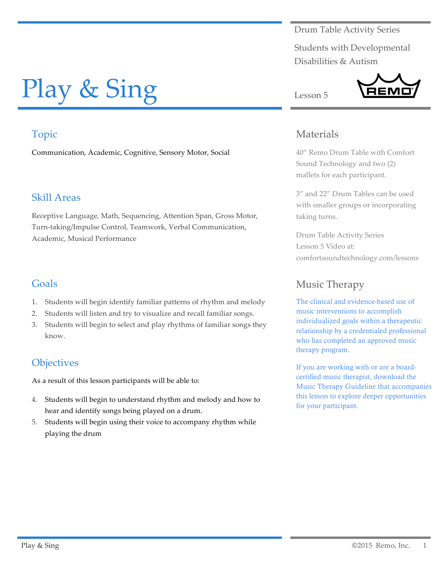Drum Table Activity Series

Students with Developmental Disabilities & Autism

# Play & Sing

# Topic

Communication, Academic, Cognitive, Sensory Motor, Social

# Skill Areas

Receptive Language, Math, Sequencing, Attention Span, Gross Motor, Turn-taking/Impulse Control, Teamwork, Verbal Communication, Academic, Musical Performance

# Goals

- 1. Students will begin identify familiar patterns of rhythm and melody
- 2. Students will listen and try to visualize and recall familiar songs.
- 3. Students will begin to select and play rhythms of familiar songs they know.

# **Objectives**

As a result of this lesson participants will be able to:

- 4. Students will begin to understand rhythm and melody and how to hear and identify songs being played on a drum.
- 5. Students will begin using their voice to accompany rhythm while playing the drum

# Materials

Lesson 5

40" Remo Drum Table with Comfort Sound Technology and two (2) mallets for each participant.

3" and 22" Drum Tables can be used with smaller groups or incorporating taking turns.

Drum Table Activity Series Lesson 5 Video at: comfortsoundtechnology.com/lessons

# Music Therapy

The clinical and evidence-based use of music interventions to accomplish individualized goals within a therapeutic relationship by a credentialed professional who has completed an approved music therapy program.

If you are working with or are a boardcertified music therapist, download the Music Therapy Guideline that accompanies this lesson to explore deeper opportunities for your participant.